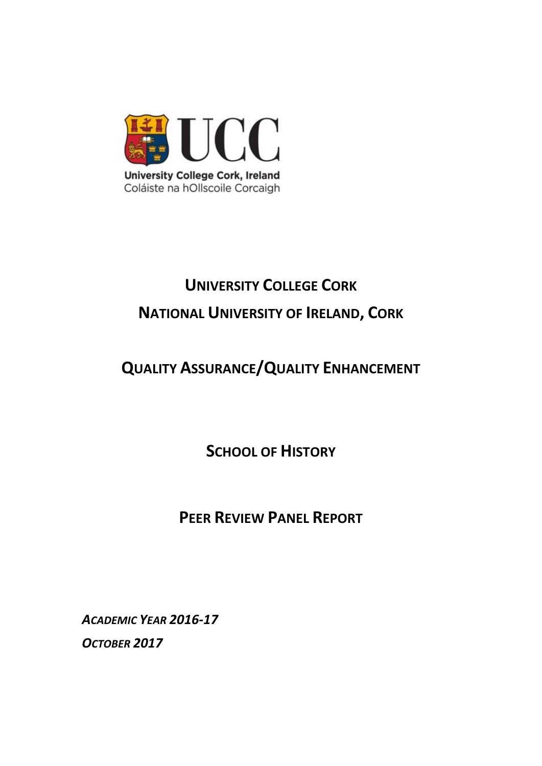

# **UNIVERSITY COLLEGE CORK NATIONAL UNIVERSITY OF IRELAND, CORK**

# **QUALITY ASSURANCE/QUALITY ENHANCEMENT**

**SCHOOL OF HISTORY**

# **PEER REVIEW PANEL REPORT**

*ACADEMIC YEAR 2016-17 OCTOBER 2017*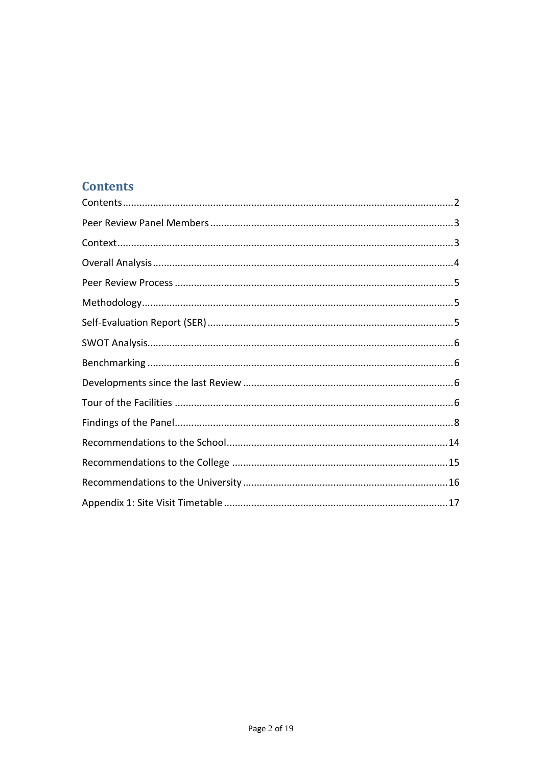# <span id="page-1-0"></span>**Contents**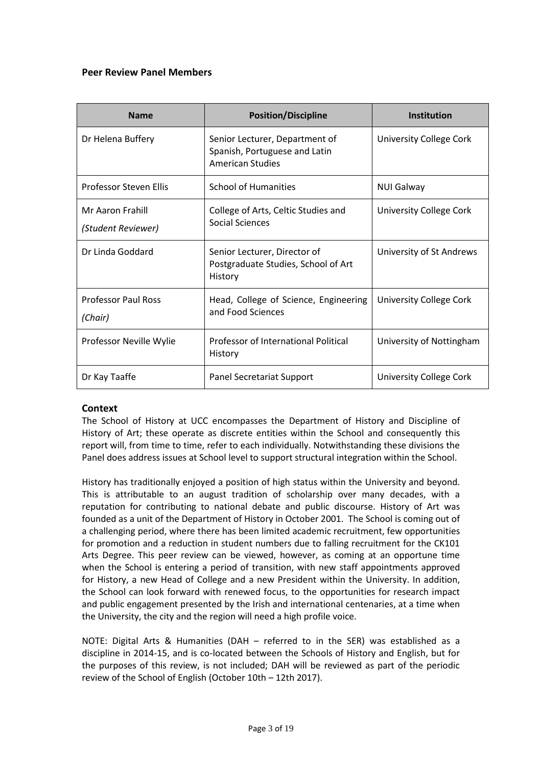# <span id="page-2-0"></span>**Peer Review Panel Members**

| <b>Name</b>                            | <b>Position/Discipline</b>                                                                 | <b>Institution</b>       |
|----------------------------------------|--------------------------------------------------------------------------------------------|--------------------------|
| Dr Helena Buffery                      | Senior Lecturer, Department of<br>Spanish, Portuguese and Latin<br><b>American Studies</b> | University College Cork  |
| <b>Professor Steven Ellis</b>          | <b>School of Humanities</b>                                                                | <b>NUI Galway</b>        |
| Mr Aaron Frahill<br>(Student Reviewer) | College of Arts, Celtic Studies and<br>Social Sciences                                     | University College Cork  |
| Dr Linda Goddard                       | Senior Lecturer, Director of<br>Postgraduate Studies, School of Art<br>History             | University of St Andrews |
| <b>Professor Paul Ross</b><br>(Chair)  | Head, College of Science, Engineering<br>and Food Sciences                                 | University College Cork  |
| Professor Neville Wylie                | Professor of International Political<br>History                                            | University of Nottingham |
| Dr Kay Taaffe                          | Panel Secretariat Support                                                                  | University College Cork  |

# <span id="page-2-1"></span>**Context**

The School of History at UCC encompasses the Department of History and Discipline of History of Art; these operate as discrete entities within the School and consequently this report will, from time to time, refer to each individually. Notwithstanding these divisions the Panel does address issues at School level to support structural integration within the School.

History has traditionally enjoyed a position of high status within the University and beyond. This is attributable to an august tradition of scholarship over many decades, with a reputation for contributing to national debate and public discourse. History of Art was founded as a unit of the Department of History in October 2001. The School is coming out of a challenging period, where there has been limited academic recruitment, few opportunities for promotion and a reduction in student numbers due to falling recruitment for the CK101 Arts Degree. This peer review can be viewed, however, as coming at an opportune time when the School is entering a period of transition, with new staff appointments approved for History, a new Head of College and a new President within the University. In addition, the School can look forward with renewed focus, to the opportunities for research impact and public engagement presented by the Irish and international centenaries, at a time when the University, the city and the region will need a high profile voice.

NOTE: Digital Arts & Humanities (DAH – referred to in the SER) was established as a discipline in 2014-15, and is co-located between the Schools of History and English, but for the purposes of this review, is not included; DAH will be reviewed as part of the periodic review of the School of English (October 10th – 12th 2017).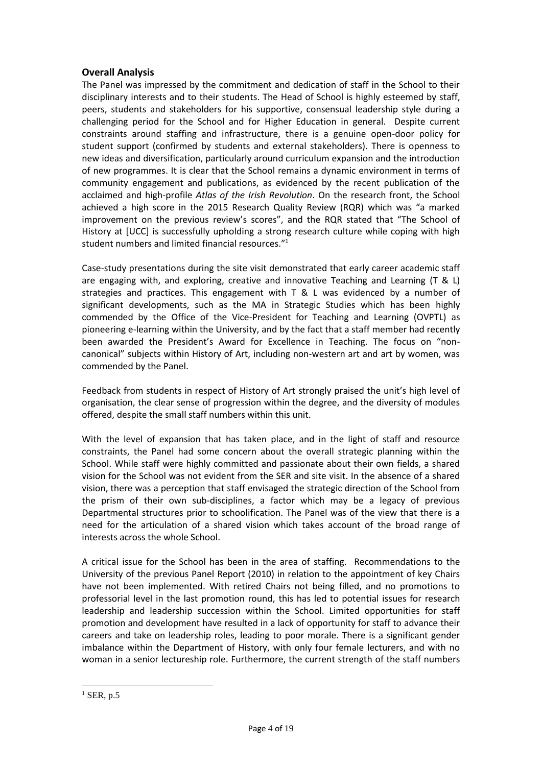# <span id="page-3-0"></span>**Overall Analysis**

The Panel was impressed by the commitment and dedication of staff in the School to their disciplinary interests and to their students. The Head of School is highly esteemed by staff, peers, students and stakeholders for his supportive, consensual leadership style during a challenging period for the School and for Higher Education in general. Despite current constraints around staffing and infrastructure, there is a genuine open-door policy for student support (confirmed by students and external stakeholders). There is openness to new ideas and diversification, particularly around curriculum expansion and the introduction of new programmes. It is clear that the School remains a dynamic environment in terms of community engagement and publications, as evidenced by the recent publication of the acclaimed and high-profile *Atlas of the Irish Revolution*. On the research front, the School achieved a high score in the 2015 Research Quality Review (RQR) which was "a marked improvement on the previous review's scores", and the RQR stated that "The School of History at [UCC] is successfully upholding a strong research culture while coping with high student numbers and limited financial resources."<sup>1</sup>

Case-study presentations during the site visit demonstrated that early career academic staff are engaging with, and exploring, creative and innovative Teaching and Learning (T & L) strategies and practices. This engagement with T & L was evidenced by a number of significant developments, such as the MA in Strategic Studies which has been highly commended by the Office of the Vice-President for Teaching and Learning (OVPTL) as pioneering e-learning within the University, and by the fact that a staff member had recently been awarded the President's Award for Excellence in Teaching. The focus on "noncanonical" subjects within History of Art, including non-western art and art by women, was commended by the Panel.

Feedback from students in respect of History of Art strongly praised the unit's high level of organisation, the clear sense of progression within the degree, and the diversity of modules offered, despite the small staff numbers within this unit.

With the level of expansion that has taken place, and in the light of staff and resource constraints, the Panel had some concern about the overall strategic planning within the School. While staff were highly committed and passionate about their own fields, a shared vision for the School was not evident from the SER and site visit. In the absence of a shared vision, there was a perception that staff envisaged the strategic direction of the School from the prism of their own sub-disciplines, a factor which may be a legacy of previous Departmental structures prior to schoolification. The Panel was of the view that there is a need for the articulation of a shared vision which takes account of the broad range of interests across the whole School.

A critical issue for the School has been in the area of staffing. Recommendations to the University of the previous Panel Report (2010) in relation to the appointment of key Chairs have not been implemented. With retired Chairs not being filled, and no promotions to professorial level in the last promotion round, this has led to potential issues for research leadership and leadership succession within the School. Limited opportunities for staff promotion and development have resulted in a lack of opportunity for staff to advance their careers and take on leadership roles, leading to poor morale. There is a significant gender imbalance within the Department of History, with only four female lecturers, and with no woman in a senior lectureship role. Furthermore, the current strength of the staff numbers

1

 $<sup>1</sup>$  SER, p.5</sup>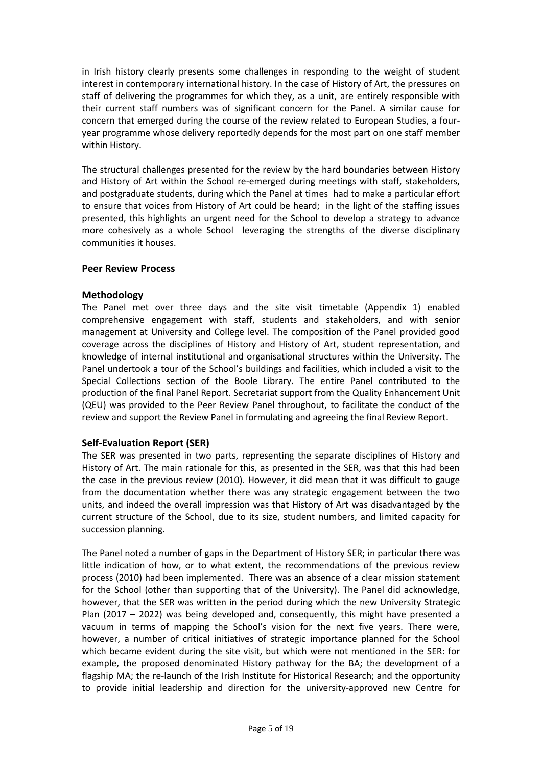in Irish history clearly presents some challenges in responding to the weight of student interest in contemporary international history. In the case of History of Art, the pressures on staff of delivering the programmes for which they, as a unit, are entirely responsible with their current staff numbers was of significant concern for the Panel. A similar cause for concern that emerged during the course of the review related to European Studies, a fouryear programme whose delivery reportedly depends for the most part on one staff member within History.

The structural challenges presented for the review by the hard boundaries between History and History of Art within the School re-emerged during meetings with staff, stakeholders, and postgraduate students, during which the Panel at times had to make a particular effort to ensure that voices from History of Art could be heard; in the light of the staffing issues presented, this highlights an urgent need for the School to develop a strategy to advance more cohesively as a whole School leveraging the strengths of the diverse disciplinary communities it houses.

#### <span id="page-4-0"></span>**Peer Review Process**

#### <span id="page-4-1"></span>**Methodology**

The Panel met over three days and the site visit timetable (Appendix 1) enabled comprehensive engagement with staff, students and stakeholders, and with senior management at University and College level. The composition of the Panel provided good coverage across the disciplines of History and History of Art, student representation, and knowledge of internal institutional and organisational structures within the University. The Panel undertook a tour of the School's buildings and facilities, which included a visit to the Special Collections section of the Boole Library. The entire Panel contributed to the production of the final Panel Report. Secretariat support from the Quality Enhancement Unit (QEU) was provided to the Peer Review Panel throughout, to facilitate the conduct of the review and support the Review Panel in formulating and agreeing the final Review Report.

# <span id="page-4-2"></span>**Self-Evaluation Report (SER)**

The SER was presented in two parts, representing the separate disciplines of History and History of Art. The main rationale for this, as presented in the SER, was that this had been the case in the previous review (2010). However, it did mean that it was difficult to gauge from the documentation whether there was any strategic engagement between the two units, and indeed the overall impression was that History of Art was disadvantaged by the current structure of the School, due to its size, student numbers, and limited capacity for succession planning.

The Panel noted a number of gaps in the Department of History SER; in particular there was little indication of how, or to what extent, the recommendations of the previous review process (2010) had been implemented. There was an absence of a clear mission statement for the School (other than supporting that of the University). The Panel did acknowledge, however, that the SER was written in the period during which the new University Strategic Plan (2017 – 2022) was being developed and, consequently, this might have presented a vacuum in terms of mapping the School's vision for the next five years. There were, however, a number of critical initiatives of strategic importance planned for the School which became evident during the site visit, but which were not mentioned in the SER: for example, the proposed denominated History pathway for the BA; the development of a flagship MA; the re-launch of the Irish Institute for Historical Research; and the opportunity to provide initial leadership and direction for the university-approved new Centre for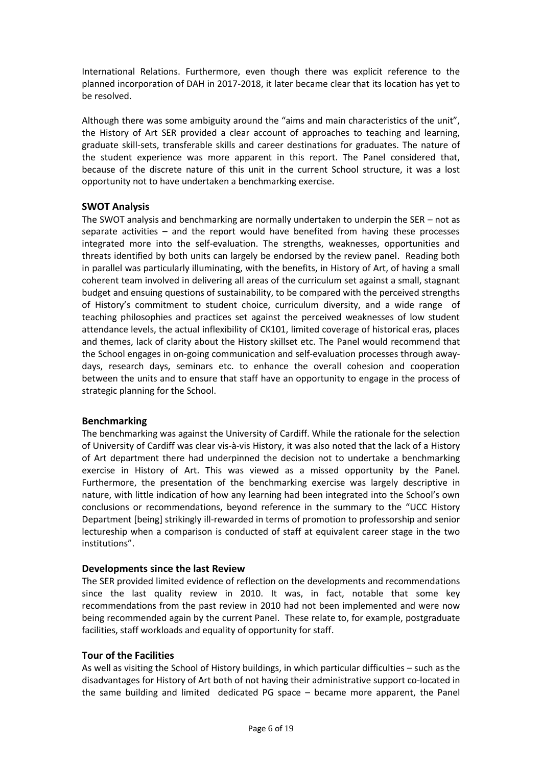International Relations. Furthermore, even though there was explicit reference to the planned incorporation of DAH in 2017-2018, it later became clear that its location has yet to be resolved.

Although there was some ambiguity around the "aims and main characteristics of the unit", the History of Art SER provided a clear account of approaches to teaching and learning, graduate skill-sets, transferable skills and career destinations for graduates. The nature of the student experience was more apparent in this report. The Panel considered that, because of the discrete nature of this unit in the current School structure, it was a lost opportunity not to have undertaken a benchmarking exercise.

# <span id="page-5-0"></span>**SWOT Analysis**

The SWOT analysis and benchmarking are normally undertaken to underpin the SER – not as separate activities – and the report would have benefited from having these processes integrated more into the self-evaluation. The strengths, weaknesses, opportunities and threats identified by both units can largely be endorsed by the review panel. Reading both in parallel was particularly illuminating, with the benefits, in History of Art, of having a small coherent team involved in delivering all areas of the curriculum set against a small, stagnant budget and ensuing questions of sustainability, to be compared with the perceived strengths of History's commitment to student choice, curriculum diversity, and a wide range of teaching philosophies and practices set against the perceived weaknesses of low student attendance levels, the actual inflexibility of CK101, limited coverage of historical eras, places and themes, lack of clarity about the History skillset etc. The Panel would recommend that the School engages in on-going communication and self-evaluation processes through awaydays, research days, seminars etc. to enhance the overall cohesion and cooperation between the units and to ensure that staff have an opportunity to engage in the process of strategic planning for the School.

# <span id="page-5-1"></span>**Benchmarking**

The benchmarking was against the University of Cardiff. While the rationale for the selection of University of Cardiff was clear vis-à-vis History, it was also noted that the lack of a History of Art department there had underpinned the decision not to undertake a benchmarking exercise in History of Art. This was viewed as a missed opportunity by the Panel. Furthermore, the presentation of the benchmarking exercise was largely descriptive in nature, with little indication of how any learning had been integrated into the School's own conclusions or recommendations, beyond reference in the summary to the "UCC History Department [being] strikingly ill-rewarded in terms of promotion to professorship and senior lectureship when a comparison is conducted of staff at equivalent career stage in the two institutions".

# <span id="page-5-2"></span>**Developments since the last Review**

The SER provided limited evidence of reflection on the developments and recommendations since the last quality review in 2010. It was, in fact, notable that some key recommendations from the past review in 2010 had not been implemented and were now being recommended again by the current Panel. These relate to, for example, postgraduate facilities, staff workloads and equality of opportunity for staff.

# <span id="page-5-3"></span>**Tour of the Facilities**

As well as visiting the School of History buildings, in which particular difficulties – such as the disadvantages for History of Art both of not having their administrative support co-located in the same building and limited dedicated PG space – became more apparent, the Panel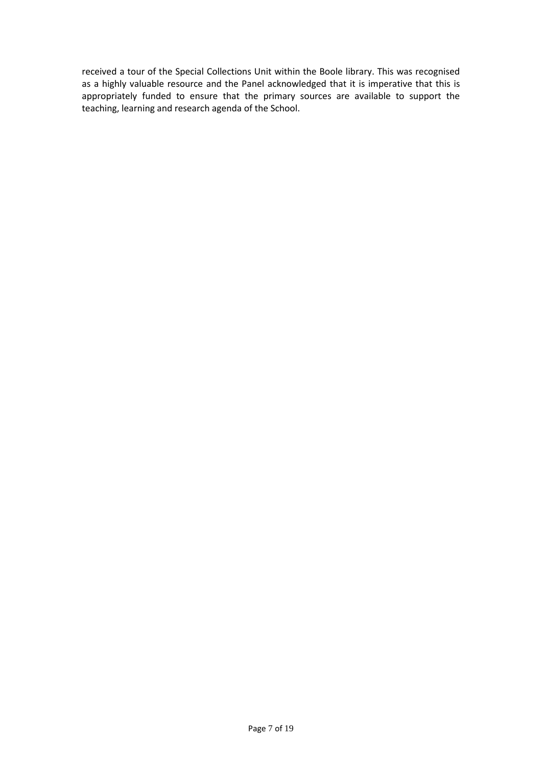received a tour of the Special Collections Unit within the Boole library. This was recognised as a highly valuable resource and the Panel acknowledged that it is imperative that this is appropriately funded to ensure that the primary sources are available to support the teaching, learning and research agenda of the School.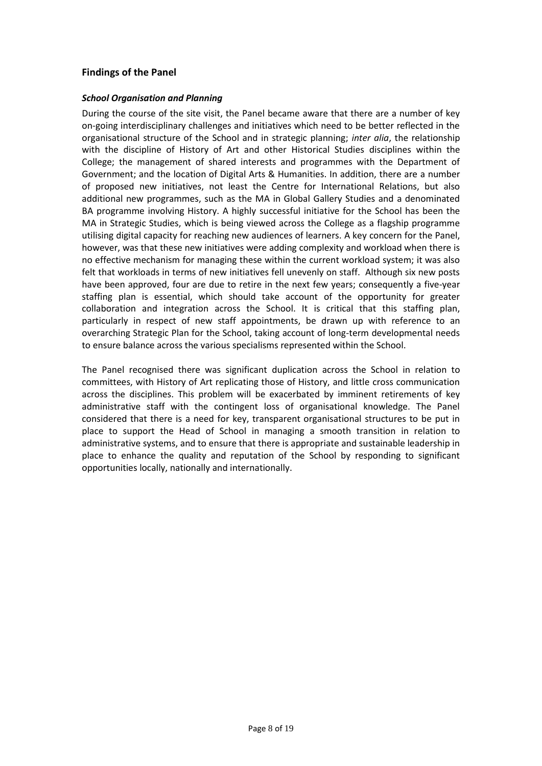# <span id="page-7-0"></span>**Findings of the Panel**

#### *School Organisation and Planning*

During the course of the site visit, the Panel became aware that there are a number of key on-going interdisciplinary challenges and initiatives which need to be better reflected in the organisational structure of the School and in strategic planning; *inter alia*, the relationship with the discipline of History of Art and other Historical Studies disciplines within the College; the management of shared interests and programmes with the Department of Government; and the location of Digital Arts & Humanities. In addition, there are a number of proposed new initiatives, not least the Centre for International Relations, but also additional new programmes, such as the MA in Global Gallery Studies and a denominated BA programme involving History. A highly successful initiative for the School has been the MA in Strategic Studies, which is being viewed across the College as a flagship programme utilising digital capacity for reaching new audiences of learners. A key concern for the Panel, however, was that these new initiatives were adding complexity and workload when there is no effective mechanism for managing these within the current workload system; it was also felt that workloads in terms of new initiatives fell unevenly on staff. Although six new posts have been approved, four are due to retire in the next few years; consequently a five-year staffing plan is essential, which should take account of the opportunity for greater collaboration and integration across the School. It is critical that this staffing plan, particularly in respect of new staff appointments, be drawn up with reference to an overarching Strategic Plan for the School, taking account of long-term developmental needs to ensure balance across the various specialisms represented within the School.

The Panel recognised there was significant duplication across the School in relation to committees, with History of Art replicating those of History, and little cross communication across the disciplines. This problem will be exacerbated by imminent retirements of key administrative staff with the contingent loss of organisational knowledge. The Panel considered that there is a need for key, transparent organisational structures to be put in place to support the Head of School in managing a smooth transition in relation to administrative systems, and to ensure that there is appropriate and sustainable leadership in place to enhance the quality and reputation of the School by responding to significant opportunities locally, nationally and internationally.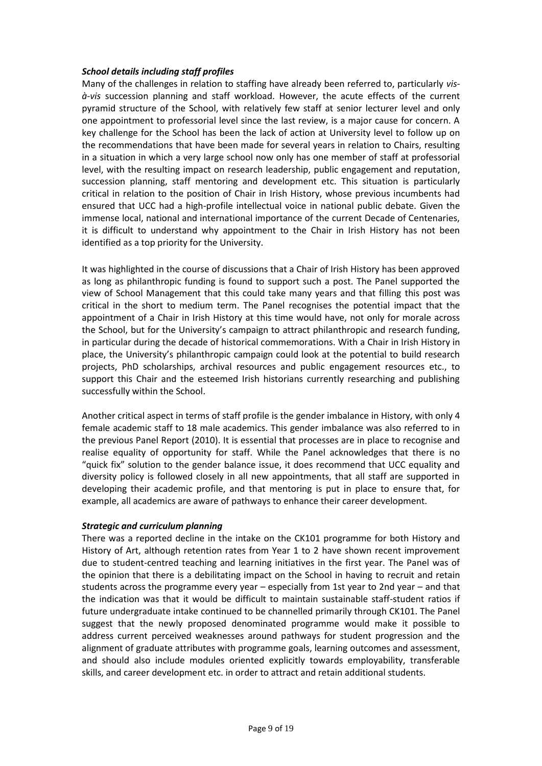#### *School details including staff profiles*

Many of the challenges in relation to staffing have already been referred to, particularly *visà-vis* succession planning and staff workload. However, the acute effects of the current pyramid structure of the School, with relatively few staff at senior lecturer level and only one appointment to professorial level since the last review, is a major cause for concern. A key challenge for the School has been the lack of action at University level to follow up on the recommendations that have been made for several years in relation to Chairs, resulting in a situation in which a very large school now only has one member of staff at professorial level, with the resulting impact on research leadership, public engagement and reputation, succession planning, staff mentoring and development etc. This situation is particularly critical in relation to the position of Chair in Irish History, whose previous incumbents had ensured that UCC had a high-profile intellectual voice in national public debate. Given the immense local, national and international importance of the current Decade of Centenaries, it is difficult to understand why appointment to the Chair in Irish History has not been identified as a top priority for the University.

It was highlighted in the course of discussions that a Chair of Irish History has been approved as long as philanthropic funding is found to support such a post. The Panel supported the view of School Management that this could take many years and that filling this post was critical in the short to medium term. The Panel recognises the potential impact that the appointment of a Chair in Irish History at this time would have, not only for morale across the School, but for the University's campaign to attract philanthropic and research funding, in particular during the decade of historical commemorations. With a Chair in Irish History in place, the University's philanthropic campaign could look at the potential to build research projects, PhD scholarships, archival resources and public engagement resources etc., to support this Chair and the esteemed Irish historians currently researching and publishing successfully within the School.

Another critical aspect in terms of staff profile is the gender imbalance in History, with only 4 female academic staff to 18 male academics. This gender imbalance was also referred to in the previous Panel Report (2010). It is essential that processes are in place to recognise and realise equality of opportunity for staff. While the Panel acknowledges that there is no "quick fix" solution to the gender balance issue, it does recommend that UCC equality and diversity policy is followed closely in all new appointments, that all staff are supported in developing their academic profile, and that mentoring is put in place to ensure that, for example, all academics are aware of pathways to enhance their career development.

#### *Strategic and curriculum planning*

There was a reported decline in the intake on the CK101 programme for both History and History of Art, although retention rates from Year 1 to 2 have shown recent improvement due to student-centred teaching and learning initiatives in the first year. The Panel was of the opinion that there is a debilitating impact on the School in having to recruit and retain students across the programme every year – especially from 1st year to 2nd year – and that the indication was that it would be difficult to maintain sustainable staff-student ratios if future undergraduate intake continued to be channelled primarily through CK101. The Panel suggest that the newly proposed denominated programme would make it possible to address current perceived weaknesses around pathways for student progression and the alignment of graduate attributes with programme goals, learning outcomes and assessment, and should also include modules oriented explicitly towards employability, transferable skills, and career development etc. in order to attract and retain additional students.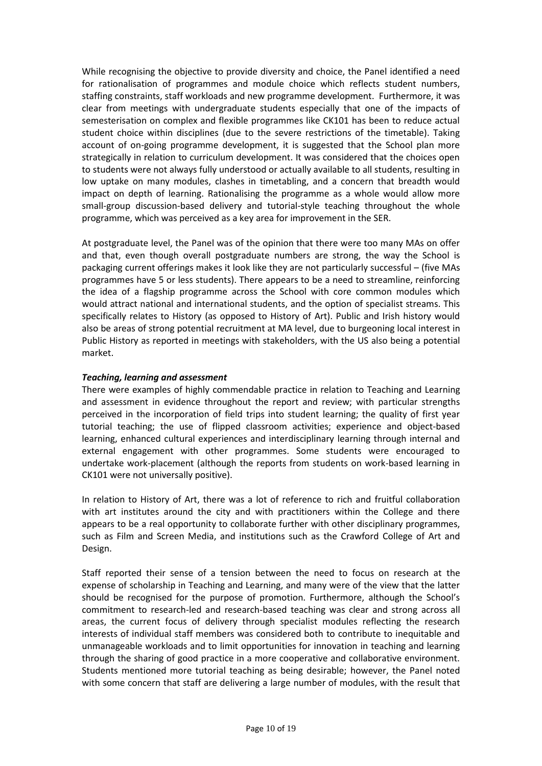While recognising the objective to provide diversity and choice, the Panel identified a need for rationalisation of programmes and module choice which reflects student numbers, staffing constraints, staff workloads and new programme development. Furthermore, it was clear from meetings with undergraduate students especially that one of the impacts of semesterisation on complex and flexible programmes like CK101 has been to reduce actual student choice within disciplines (due to the severe restrictions of the timetable). Taking account of on-going programme development, it is suggested that the School plan more strategically in relation to curriculum development. It was considered that the choices open to students were not always fully understood or actually available to all students, resulting in low uptake on many modules, clashes in timetabling, and a concern that breadth would impact on depth of learning. Rationalising the programme as a whole would allow more small-group discussion-based delivery and tutorial-style teaching throughout the whole programme, which was perceived as a key area for improvement in the SER.

At postgraduate level, the Panel was of the opinion that there were too many MAs on offer and that, even though overall postgraduate numbers are strong, the way the School is packaging current offerings makes it look like they are not particularly successful – (five MAs programmes have 5 or less students). There appears to be a need to streamline, reinforcing the idea of a flagship programme across the School with core common modules which would attract national and international students, and the option of specialist streams. This specifically relates to History (as opposed to History of Art). Public and Irish history would also be areas of strong potential recruitment at MA level, due to burgeoning local interest in Public History as reported in meetings with stakeholders, with the US also being a potential market.

#### *Teaching, learning and assessment*

There were examples of highly commendable practice in relation to Teaching and Learning and assessment in evidence throughout the report and review; with particular strengths perceived in the incorporation of field trips into student learning; the quality of first year tutorial teaching; the use of flipped classroom activities; experience and object-based learning, enhanced cultural experiences and interdisciplinary learning through internal and external engagement with other programmes. Some students were encouraged to undertake work-placement (although the reports from students on work-based learning in CK101 were not universally positive).

In relation to History of Art, there was a lot of reference to rich and fruitful collaboration with art institutes around the city and with practitioners within the College and there appears to be a real opportunity to collaborate further with other disciplinary programmes, such as Film and Screen Media, and institutions such as the Crawford College of Art and Design.

Staff reported their sense of a tension between the need to focus on research at the expense of scholarship in Teaching and Learning, and many were of the view that the latter should be recognised for the purpose of promotion. Furthermore, although the School's commitment to research-led and research-based teaching was clear and strong across all areas, the current focus of delivery through specialist modules reflecting the research interests of individual staff members was considered both to contribute to inequitable and unmanageable workloads and to limit opportunities for innovation in teaching and learning through the sharing of good practice in a more cooperative and collaborative environment. Students mentioned more tutorial teaching as being desirable; however, the Panel noted with some concern that staff are delivering a large number of modules, with the result that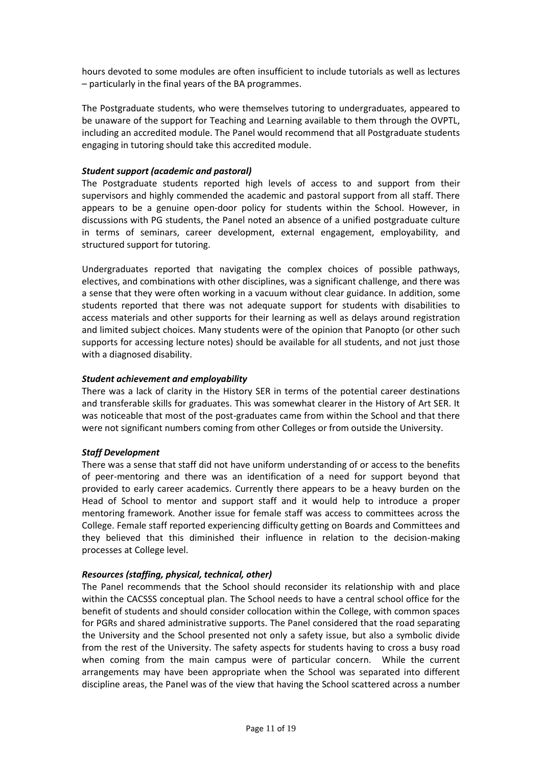hours devoted to some modules are often insufficient to include tutorials as well as lectures – particularly in the final years of the BA programmes.

The Postgraduate students, who were themselves tutoring to undergraduates, appeared to be unaware of the support for Teaching and Learning available to them through the OVPTL, including an accredited module. The Panel would recommend that all Postgraduate students engaging in tutoring should take this accredited module.

#### *Student support (academic and pastoral)*

The Postgraduate students reported high levels of access to and support from their supervisors and highly commended the academic and pastoral support from all staff. There appears to be a genuine open-door policy for students within the School. However, in discussions with PG students, the Panel noted an absence of a unified postgraduate culture in terms of seminars, career development, external engagement, employability, and structured support for tutoring.

Undergraduates reported that navigating the complex choices of possible pathways, electives, and combinations with other disciplines, was a significant challenge, and there was a sense that they were often working in a vacuum without clear guidance. In addition, some students reported that there was not adequate support for students with disabilities to access materials and other supports for their learning as well as delays around registration and limited subject choices. Many students were of the opinion that Panopto (or other such supports for accessing lecture notes) should be available for all students, and not just those with a diagnosed disability.

#### *Student achievement and employability*

There was a lack of clarity in the History SER in terms of the potential career destinations and transferable skills for graduates. This was somewhat clearer in the History of Art SER. It was noticeable that most of the post-graduates came from within the School and that there were not significant numbers coming from other Colleges or from outside the University.

#### *Staff Development*

There was a sense that staff did not have uniform understanding of or access to the benefits of peer-mentoring and there was an identification of a need for support beyond that provided to early career academics. Currently there appears to be a heavy burden on the Head of School to mentor and support staff and it would help to introduce a proper mentoring framework. Another issue for female staff was access to committees across the College. Female staff reported experiencing difficulty getting on Boards and Committees and they believed that this diminished their influence in relation to the decision-making processes at College level.

#### *Resources (staffing, physical, technical, other)*

The Panel recommends that the School should reconsider its relationship with and place within the CACSSS conceptual plan. The School needs to have a central school office for the benefit of students and should consider collocation within the College, with common spaces for PGRs and shared administrative supports. The Panel considered that the road separating the University and the School presented not only a safety issue, but also a symbolic divide from the rest of the University. The safety aspects for students having to cross a busy road when coming from the main campus were of particular concern. While the current arrangements may have been appropriate when the School was separated into different discipline areas, the Panel was of the view that having the School scattered across a number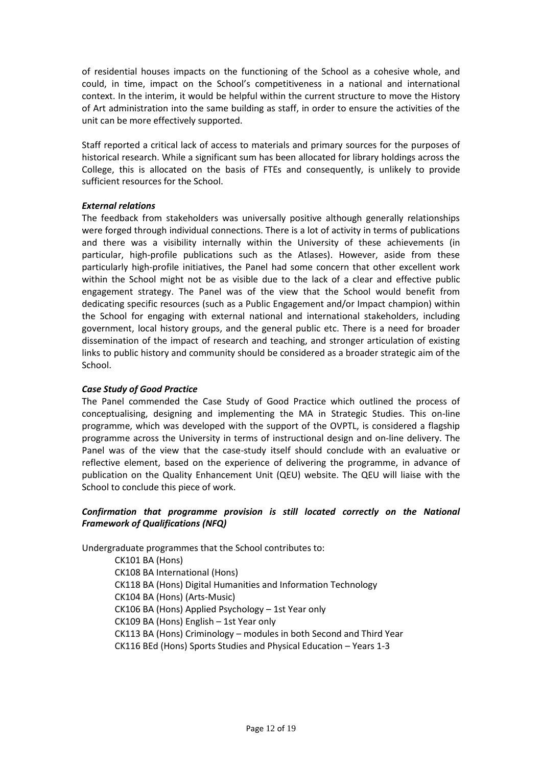of residential houses impacts on the functioning of the School as a cohesive whole, and could, in time, impact on the School's competitiveness in a national and international context. In the interim, it would be helpful within the current structure to move the History of Art administration into the same building as staff, in order to ensure the activities of the unit can be more effectively supported.

Staff reported a critical lack of access to materials and primary sources for the purposes of historical research. While a significant sum has been allocated for library holdings across the College, this is allocated on the basis of FTEs and consequently, is unlikely to provide sufficient resources for the School.

#### *External relations*

The feedback from stakeholders was universally positive although generally relationships were forged through individual connections. There is a lot of activity in terms of publications and there was a visibility internally within the University of these achievements (in particular, high-profile publications such as the Atlases). However, aside from these particularly high-profile initiatives, the Panel had some concern that other excellent work within the School might not be as visible due to the lack of a clear and effective public engagement strategy. The Panel was of the view that the School would benefit from dedicating specific resources (such as a Public Engagement and/or Impact champion) within the School for engaging with external national and international stakeholders, including government, local history groups, and the general public etc. There is a need for broader dissemination of the impact of research and teaching, and stronger articulation of existing links to public history and community should be considered as a broader strategic aim of the School.

# *Case Study of Good Practice*

The Panel commended the Case Study of Good Practice which outlined the process of conceptualising, designing and implementing the MA in Strategic Studies. This on-line programme, which was developed with the support of the OVPTL, is considered a flagship programme across the University in terms of instructional design and on-line delivery. The Panel was of the view that the case-study itself should conclude with an evaluative or reflective element, based on the experience of delivering the programme, in advance of publication on the Quality Enhancement Unit (QEU) website. The QEU will liaise with the School to conclude this piece of work.

# *Confirmation that programme provision is still located correctly on the National Framework of Qualifications (NFQ)*

Undergraduate programmes that the School contributes to:

CK101 BA (Hons) CK108 BA International (Hons) CK118 BA (Hons) Digital Humanities and Information Technology CK104 BA (Hons) (Arts-Music) CK106 BA (Hons) Applied Psychology – 1st Year only CK109 BA (Hons) English – 1st Year only CK113 BA (Hons) Criminology – modules in both Second and Third Year CK116 BEd (Hons) Sports Studies and Physical Education – Years 1-3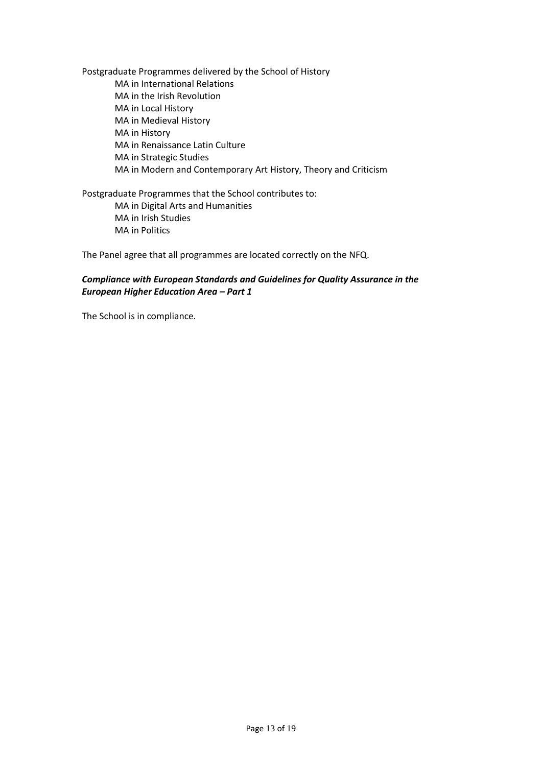Postgraduate Programmes delivered by the School of History MA in International Relations MA in the Irish Revolution MA in Local History MA in Medieval History MA in History MA in Renaissance Latin Culture MA in Strategic Studies MA in Modern and Contemporary Art History, Theory and Criticism

Postgraduate Programmes that the School contributes to: MA in Digital Arts and Humanities MA in Irish Studies MA in Politics

The Panel agree that all programmes are located correctly on the NFQ.

#### *Compliance with European Standards and Guidelines for Quality Assurance in the European Higher Education Area – Part 1*

The School is in compliance.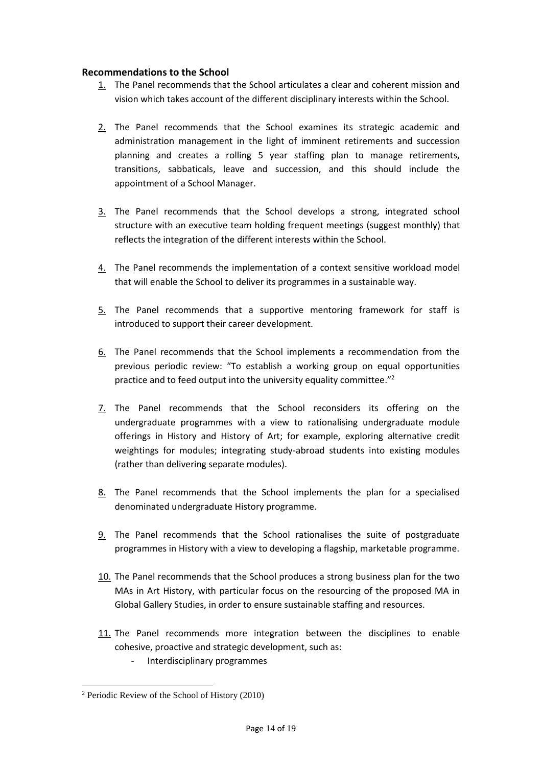#### <span id="page-13-0"></span>**Recommendations to the School**

- 1. The Panel recommends that the School articulates a clear and coherent mission and vision which takes account of the different disciplinary interests within the School.
- 2. The Panel recommends that the School examines its strategic academic and administration management in the light of imminent retirements and succession planning and creates a rolling 5 year staffing plan to manage retirements, transitions, sabbaticals, leave and succession, and this should include the appointment of a School Manager.
- 3. The Panel recommends that the School develops a strong, integrated school structure with an executive team holding frequent meetings (suggest monthly) that reflects the integration of the different interests within the School.
- 4. The Panel recommends the implementation of a context sensitive workload model that will enable the School to deliver its programmes in a sustainable way.
- 5. The Panel recommends that a supportive mentoring framework for staff is introduced to support their career development.
- 6. The Panel recommends that the School implements a recommendation from the previous periodic review: "To establish a working group on equal opportunities practice and to feed output into the university equality committee."<sup>2</sup>
- 7. The Panel recommends that the School reconsiders its offering on the undergraduate programmes with a view to rationalising undergraduate module offerings in History and History of Art; for example, exploring alternative credit weightings for modules; integrating study-abroad students into existing modules (rather than delivering separate modules).
- 8. The Panel recommends that the School implements the plan for a specialised denominated undergraduate History programme.
- 9. The Panel recommends that the School rationalises the suite of postgraduate programmes in History with a view to developing a flagship, marketable programme.
- 10. The Panel recommends that the School produces a strong business plan for the two MAs in Art History, with particular focus on the resourcing of the proposed MA in Global Gallery Studies, in order to ensure sustainable staffing and resources.
- 11. The Panel recommends more integration between the disciplines to enable cohesive, proactive and strategic development, such as:
	- Interdisciplinary programmes

1

<sup>2</sup> Periodic Review of the School of History (2010)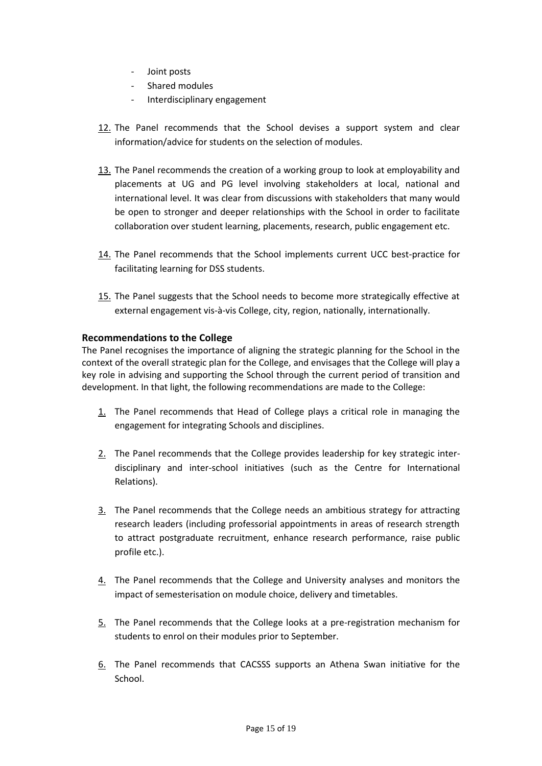- Joint posts
- Shared modules
- Interdisciplinary engagement
- 12. The Panel recommends that the School devises a support system and clear information/advice for students on the selection of modules.
- 13. The Panel recommends the creation of a working group to look at employability and placements at UG and PG level involving stakeholders at local, national and international level. It was clear from discussions with stakeholders that many would be open to stronger and deeper relationships with the School in order to facilitate collaboration over student learning, placements, research, public engagement etc.
- 14. The Panel recommends that the School implements current UCC best-practice for facilitating learning for DSS students.
- 15. The Panel suggests that the School needs to become more strategically effective at external engagement vis-à-vis College, city, region, nationally, internationally.

# <span id="page-14-0"></span>**Recommendations to the College**

The Panel recognises the importance of aligning the strategic planning for the School in the context of the overall strategic plan for the College, and envisages that the College will play a key role in advising and supporting the School through the current period of transition and development. In that light, the following recommendations are made to the College:

- 1. The Panel recommends that Head of College plays a critical role in managing the engagement for integrating Schools and disciplines.
- 2. The Panel recommends that the College provides leadership for key strategic interdisciplinary and inter-school initiatives (such as the Centre for International Relations).
- 3. The Panel recommends that the College needs an ambitious strategy for attracting research leaders (including professorial appointments in areas of research strength to attract postgraduate recruitment, enhance research performance, raise public profile etc.).
- 4. The Panel recommends that the College and University analyses and monitors the impact of semesterisation on module choice, delivery and timetables.
- 5. The Panel recommends that the College looks at a pre-registration mechanism for students to enrol on their modules prior to September.
- 6. The Panel recommends that CACSSS supports an Athena Swan initiative for the School.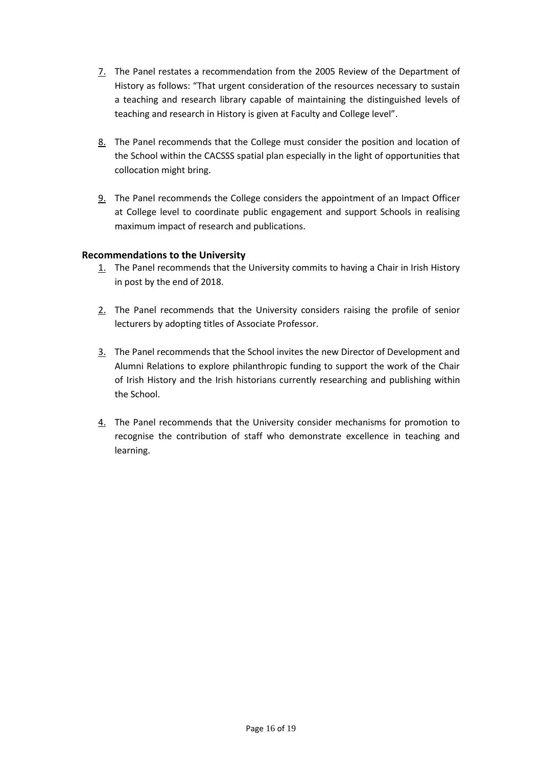- 7. The Panel restates a recommendation from the 2005 Review of the Department of History as follows: "That urgent consideration of the resources necessary to sustain a teaching and research library capable of maintaining the distinguished levels of teaching and research in History is given at Faculty and College level".
- 8. The Panel recommends that the College must consider the position and location of the School within the CACSSS spatial plan especially in the light of opportunities that collocation might bring.
- 9. The Panel recommends the College considers the appointment of an Impact Officer at College level to coordinate public engagement and support Schools in realising maximum impact of research and publications.

# <span id="page-15-0"></span>**Recommendations to the University**

- 1. The Panel recommends that the University commits to having a Chair in Irish History in post by the end of 2018.
- 2. The Panel recommends that the University considers raising the profile of senior lecturers by adopting titles of Associate Professor.
- 3. The Panel recommends that the School invites the new Director of Development and Alumni Relations to explore philanthropic funding to support the work of the Chair of Irish History and the Irish historians currently researching and publishing within the School.
- 4. The Panel recommends that the University consider mechanisms for promotion to recognise the contribution of staff who demonstrate excellence in teaching and learning.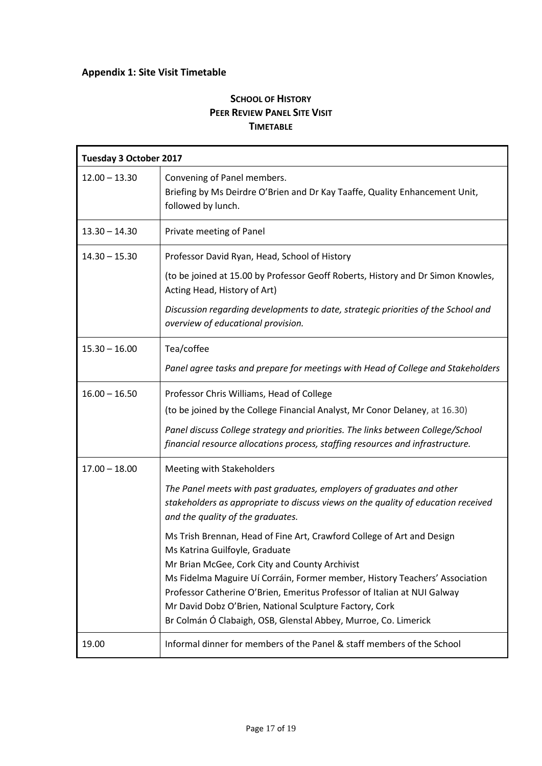# <span id="page-16-0"></span>**Appendix 1: Site Visit Timetable**

# **SCHOOL OF HISTORY PEER REVIEW PANEL SITE VISIT TIMETABLE**

| <b>Tuesday 3 October 2017</b> |                                                                                                                                                                                                                                                                                                                                                                                                                                                                                                                                                                                                                                                                                     |  |
|-------------------------------|-------------------------------------------------------------------------------------------------------------------------------------------------------------------------------------------------------------------------------------------------------------------------------------------------------------------------------------------------------------------------------------------------------------------------------------------------------------------------------------------------------------------------------------------------------------------------------------------------------------------------------------------------------------------------------------|--|
| $12.00 - 13.30$               | Convening of Panel members.<br>Briefing by Ms Deirdre O'Brien and Dr Kay Taaffe, Quality Enhancement Unit,<br>followed by lunch.                                                                                                                                                                                                                                                                                                                                                                                                                                                                                                                                                    |  |
| $13.30 - 14.30$               | Private meeting of Panel                                                                                                                                                                                                                                                                                                                                                                                                                                                                                                                                                                                                                                                            |  |
| $14.30 - 15.30$               | Professor David Ryan, Head, School of History<br>(to be joined at 15.00 by Professor Geoff Roberts, History and Dr Simon Knowles,<br>Acting Head, History of Art)<br>Discussion regarding developments to date, strategic priorities of the School and<br>overview of educational provision.                                                                                                                                                                                                                                                                                                                                                                                        |  |
| $15.30 - 16.00$               | Tea/coffee<br>Panel agree tasks and prepare for meetings with Head of College and Stakeholders                                                                                                                                                                                                                                                                                                                                                                                                                                                                                                                                                                                      |  |
| $16.00 - 16.50$               | Professor Chris Williams, Head of College<br>(to be joined by the College Financial Analyst, Mr Conor Delaney, at 16.30)<br>Panel discuss College strategy and priorities. The links between College/School<br>financial resource allocations process, staffing resources and infrastructure.                                                                                                                                                                                                                                                                                                                                                                                       |  |
| $17.00 - 18.00$               | Meeting with Stakeholders<br>The Panel meets with past graduates, employers of graduates and other<br>stakeholders as appropriate to discuss views on the quality of education received<br>and the quality of the graduates.<br>Ms Trish Brennan, Head of Fine Art, Crawford College of Art and Design<br>Ms Katrina Guilfoyle, Graduate<br>Mr Brian McGee, Cork City and County Archivist<br>Ms Fidelma Maguire Uí Corráin, Former member, History Teachers' Association<br>Professor Catherine O'Brien, Emeritus Professor of Italian at NUI Galway<br>Mr David Dobz O'Brien, National Sculpture Factory, Cork<br>Br Colmán Ó Clabaigh, OSB, Glenstal Abbey, Murroe, Co. Limerick |  |
| 19.00                         | Informal dinner for members of the Panel & staff members of the School                                                                                                                                                                                                                                                                                                                                                                                                                                                                                                                                                                                                              |  |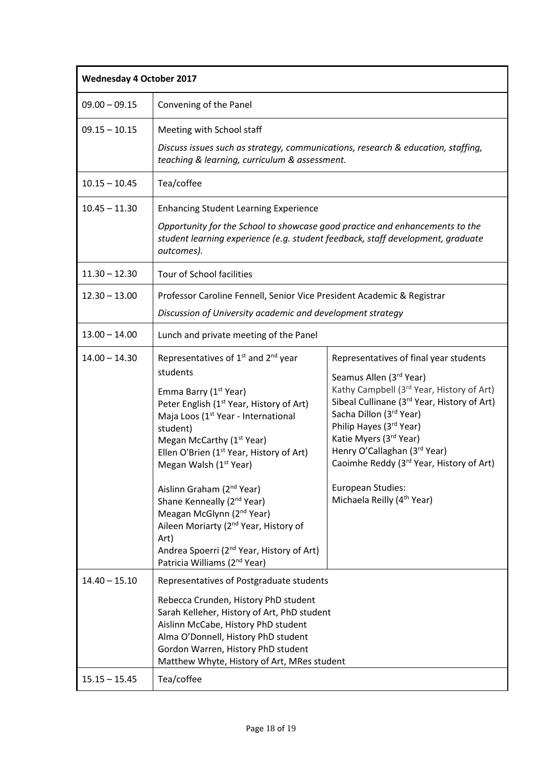| <b>Wednesday 4 October 2017</b> |                                                                                                                                                                                                                                                                                                                                                                                                                                                                                                                                                                                                                                                                          |                                                                                                                                                                                                                                                                                                                                                                                                      |
|---------------------------------|--------------------------------------------------------------------------------------------------------------------------------------------------------------------------------------------------------------------------------------------------------------------------------------------------------------------------------------------------------------------------------------------------------------------------------------------------------------------------------------------------------------------------------------------------------------------------------------------------------------------------------------------------------------------------|------------------------------------------------------------------------------------------------------------------------------------------------------------------------------------------------------------------------------------------------------------------------------------------------------------------------------------------------------------------------------------------------------|
| $09.00 - 09.15$                 | Convening of the Panel                                                                                                                                                                                                                                                                                                                                                                                                                                                                                                                                                                                                                                                   |                                                                                                                                                                                                                                                                                                                                                                                                      |
| $09.15 - 10.15$                 | Meeting with School staff<br>Discuss issues such as strategy, communications, research & education, staffing,<br>teaching & learning, curriculum & assessment.                                                                                                                                                                                                                                                                                                                                                                                                                                                                                                           |                                                                                                                                                                                                                                                                                                                                                                                                      |
| $10.15 - 10.45$                 | Tea/coffee                                                                                                                                                                                                                                                                                                                                                                                                                                                                                                                                                                                                                                                               |                                                                                                                                                                                                                                                                                                                                                                                                      |
| $10.45 - 11.30$                 | <b>Enhancing Student Learning Experience</b><br>Opportunity for the School to showcase good practice and enhancements to the<br>student learning experience (e.g. student feedback, staff development, graduate<br>outcomes).                                                                                                                                                                                                                                                                                                                                                                                                                                            |                                                                                                                                                                                                                                                                                                                                                                                                      |
| $11.30 - 12.30$                 | Tour of School facilities                                                                                                                                                                                                                                                                                                                                                                                                                                                                                                                                                                                                                                                |                                                                                                                                                                                                                                                                                                                                                                                                      |
| $12.30 - 13.00$                 | Professor Caroline Fennell, Senior Vice President Academic & Registrar<br>Discussion of University academic and development strategy                                                                                                                                                                                                                                                                                                                                                                                                                                                                                                                                     |                                                                                                                                                                                                                                                                                                                                                                                                      |
| $13.00 - 14.00$                 | Lunch and private meeting of the Panel                                                                                                                                                                                                                                                                                                                                                                                                                                                                                                                                                                                                                                   |                                                                                                                                                                                                                                                                                                                                                                                                      |
| $14.00 - 14.30$                 | Representatives of 1 <sup>st</sup> and 2 <sup>nd</sup> year<br>students<br>Emma Barry (1 <sup>st</sup> Year)<br>Peter English (1 <sup>st</sup> Year, History of Art)<br>Maja Loos (1 <sup>st</sup> Year - International<br>student)<br>Megan McCarthy (1 <sup>st</sup> Year)<br>Ellen O'Brien (1 <sup>st</sup> Year, History of Art)<br>Megan Walsh (1 <sup>st</sup> Year)<br>Aislinn Graham (2 <sup>nd</sup> Year)<br>Shane Kenneally (2 <sup>nd</sup> Year)<br>Meagan McGlynn (2 <sup>nd</sup> Year)<br>Aileen Moriarty (2 <sup>nd</sup> Year, History of<br>Art)<br>Andrea Spoerri (2 <sup>nd</sup> Year, History of Art)<br>Patricia Williams (2 <sup>nd</sup> Year) | Representatives of final year students<br>Seamus Allen (3rd Year)<br>Kathy Campbell (3 <sup>rd</sup> Year, History of Art)<br>Sibeal Cullinane (3rd Year, History of Art)<br>Sacha Dillon (3rd Year)<br>Philip Hayes (3rd Year)<br>Katie Myers (3rd Year)<br>Henry O'Callaghan (3rd Year)<br>Caoimhe Reddy (3rd Year, History of Art)<br>European Studies:<br>Michaela Reilly (4 <sup>th</sup> Year) |
| $14.40 - 15.10$                 | Representatives of Postgraduate students<br>Rebecca Crunden, History PhD student<br>Sarah Kelleher, History of Art, PhD student<br>Aislinn McCabe, History PhD student<br>Alma O'Donnell, History PhD student<br>Gordon Warren, History PhD student<br>Matthew Whyte, History of Art, MRes student                                                                                                                                                                                                                                                                                                                                                                       |                                                                                                                                                                                                                                                                                                                                                                                                      |
| $15.15 - 15.45$                 | Tea/coffee                                                                                                                                                                                                                                                                                                                                                                                                                                                                                                                                                                                                                                                               |                                                                                                                                                                                                                                                                                                                                                                                                      |